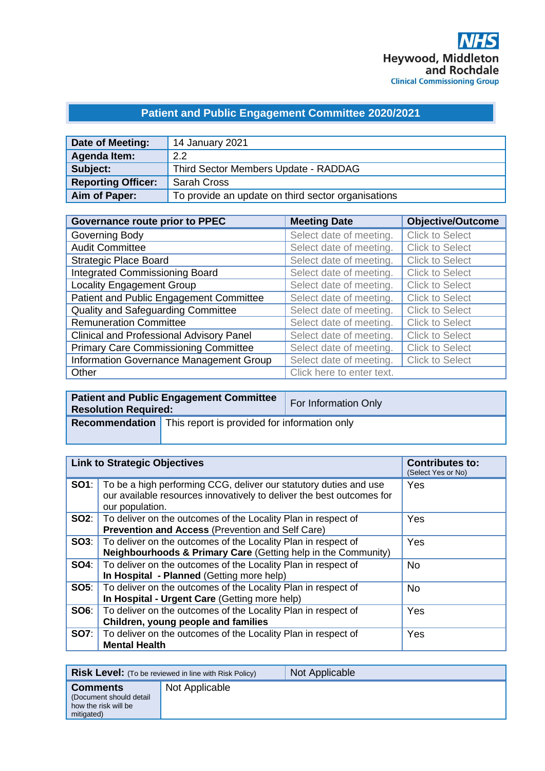# **Patient and Public Engagement Committee 2020/2021**

| Date of Meeting:          | 14 January 2021                                    |
|---------------------------|----------------------------------------------------|
| Agenda Item:              | 22                                                 |
| Subject:                  | Third Sector Members Update - RADDAG               |
| <b>Reporting Officer:</b> | <b>Sarah Cross</b>                                 |
| Aim of Paper:             | To provide an update on third sector organisations |

| <b>Governance route prior to PPEC</b>           | <b>Meeting Date</b>       | <b>Objective/Outcome</b> |
|-------------------------------------------------|---------------------------|--------------------------|
| Governing Body                                  | Select date of meeting.   | <b>Click to Select</b>   |
| <b>Audit Committee</b>                          | Select date of meeting.   | <b>Click to Select</b>   |
| <b>Strategic Place Board</b>                    | Select date of meeting.   | <b>Click to Select</b>   |
| <b>Integrated Commissioning Board</b>           | Select date of meeting.   | <b>Click to Select</b>   |
| <b>Locality Engagement Group</b>                | Select date of meeting.   | <b>Click to Select</b>   |
| Patient and Public Engagement Committee         | Select date of meeting.   | <b>Click to Select</b>   |
| <b>Quality and Safeguarding Committee</b>       | Select date of meeting.   | <b>Click to Select</b>   |
| <b>Remuneration Committee</b>                   | Select date of meeting.   | <b>Click to Select</b>   |
| <b>Clinical and Professional Advisory Panel</b> | Select date of meeting.   | <b>Click to Select</b>   |
| <b>Primary Care Commissioning Committee</b>     | Select date of meeting.   | <b>Click to Select</b>   |
| <b>Information Governance Management Group</b>  | Select date of meeting.   | <b>Click to Select</b>   |
| Other                                           | Click here to enter text. |                          |

| <b>Resolution Required:</b> | <b>Patient and Public Engagement Committee</b>                     | For Information Only |
|-----------------------------|--------------------------------------------------------------------|----------------------|
|                             | <b>Recommendation</b> This report is provided for information only |                      |

| <b>Link to Strategic Objectives</b> |                                                                                                                                                                            | <b>Contributes to:</b><br>(Select Yes or No) |
|-------------------------------------|----------------------------------------------------------------------------------------------------------------------------------------------------------------------------|----------------------------------------------|
|                                     | <b>SO1</b> : To be a high performing CCG, deliver our statutory duties and use<br>our available resources innovatively to deliver the best outcomes for<br>our population. | Yes                                          |
|                                     | <b>SO2:</b>   To deliver on the outcomes of the Locality Plan in respect of<br><b>Prevention and Access (Prevention and Self Care)</b>                                     | Yes                                          |
|                                     | <b>SO3:</b>   To deliver on the outcomes of the Locality Plan in respect of<br>Neighbourhoods & Primary Care (Getting help in the Community)                               | Yes                                          |
|                                     | <b>SO4:</b> To deliver on the outcomes of the Locality Plan in respect of<br>In Hospital - Planned (Getting more help)                                                     | <b>No</b>                                    |
|                                     | <b>SO5:</b>   To deliver on the outcomes of the Locality Plan in respect of<br>In Hospital - Urgent Care (Getting more help)                                               | <b>No</b>                                    |
| SOS:                                | To deliver on the outcomes of the Locality Plan in respect of<br>Children, young people and families                                                                       | Yes                                          |
|                                     | <b>SO7:</b> To deliver on the outcomes of the Locality Plan in respect of<br><b>Mental Health</b>                                                                          | Yes                                          |

|                                                                                   | <b>Risk Level:</b> (To be reviewed in line with Risk Policy) | Not Applicable |
|-----------------------------------------------------------------------------------|--------------------------------------------------------------|----------------|
| <b>Comments</b><br>(Document should detail)<br>how the risk will be<br>mitigated) | Not Applicable                                               |                |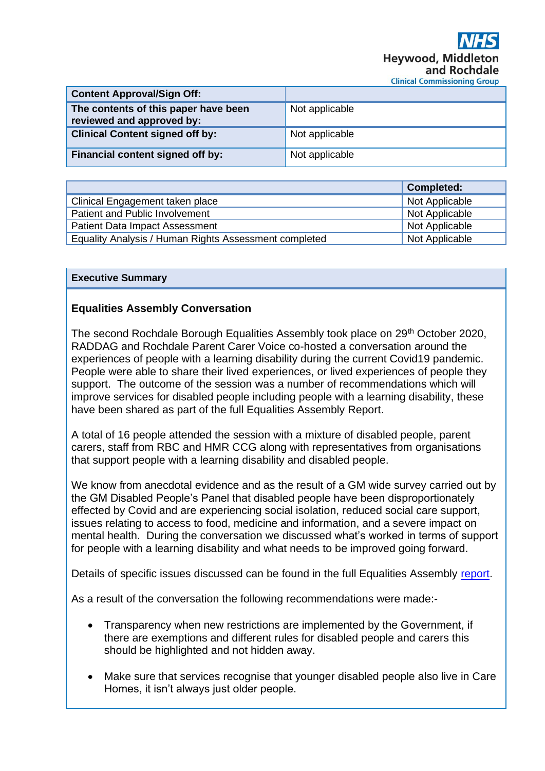| <b>Content Approval/Sign Off:</b>                                 |                |
|-------------------------------------------------------------------|----------------|
| The contents of this paper have been<br>reviewed and approved by: | Not applicable |
| <b>Clinical Content signed off by:</b>                            | Not applicable |
| Financial content signed off by:                                  | Not applicable |

|                                                       | <b>Completed:</b> |
|-------------------------------------------------------|-------------------|
| Clinical Engagement taken place                       | Not Applicable    |
| Patient and Public Involvement                        | Not Applicable    |
| <b>Patient Data Impact Assessment</b>                 | Not Applicable    |
| Equality Analysis / Human Rights Assessment completed | Not Applicable    |

#### **Executive Summary**

### **Equalities Assembly Conversation**

The second Rochdale Borough Equalities Assembly took place on 29<sup>th</sup> October 2020, RADDAG and Rochdale Parent Carer Voice co-hosted a conversation around the experiences of people with a learning disability during the current Covid19 pandemic. People were able to share their lived experiences, or lived experiences of people they support. The outcome of the session was a number of recommendations which will improve services for disabled people including people with a learning disability, these have been shared as part of the full Equalities Assembly Report.

A total of 16 people attended the session with a mixture of disabled people, parent carers, staff from RBC and HMR CCG along with representatives from organisations that support people with a learning disability and disabled people.

We know from anecdotal evidence and as the result of a GM wide survey carried out by the GM Disabled People's Panel that disabled people have been disproportionately effected by Covid and are experiencing social isolation, reduced social care support, issues relating to access to food, medicine and information, and a severe impact on mental health. During the conversation we discussed what's worked in terms of support for people with a learning disability and what needs to be improved going forward.

Details of specific issues discussed can be found in the full Equalities Assembly [report.](https://www.actiontogether.org.uk/equalities-assembly-2-report)

As a result of the conversation the following recommendations were made:-

- Transparency when new restrictions are implemented by the Government, if there are exemptions and different rules for disabled people and carers this should be highlighted and not hidden away.
- Make sure that services recognise that younger disabled people also live in Care Homes, it isn't always just older people.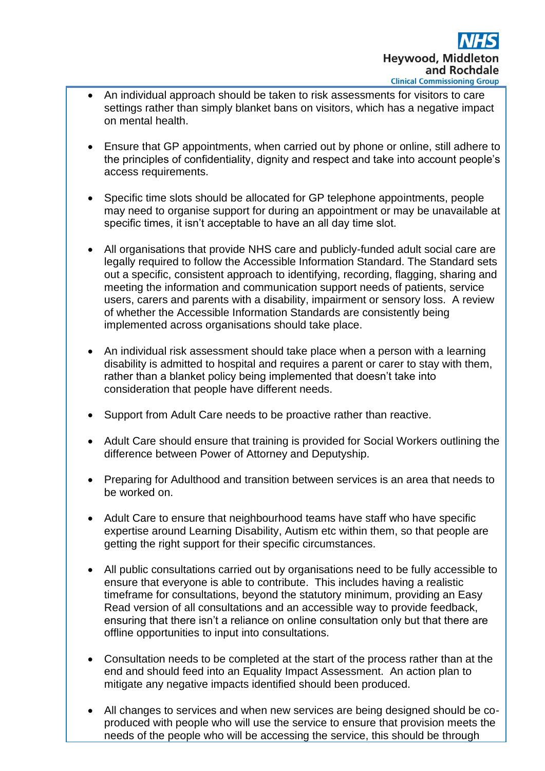- An individual approach should be taken to risk assessments for visitors to care settings rather than simply blanket bans on visitors, which has a negative impact on mental health.
- Ensure that GP appointments, when carried out by phone or online, still adhere to the principles of confidentiality, dignity and respect and take into account people's access requirements.
- Specific time slots should be allocated for GP telephone appointments, people may need to organise support for during an appointment or may be unavailable at specific times, it isn't acceptable to have an all day time slot.
- All organisations that provide NHS care and publicly-funded adult social care are legally required to follow the Accessible Information Standard. The Standard sets out a specific, consistent approach to identifying, recording, flagging, sharing and meeting the information and communication support needs of patients, service users, carers and parents with a disability, impairment or sensory loss. A review of whether the Accessible Information Standards are consistently being implemented across organisations should take place.
- An individual risk assessment should take place when a person with a learning disability is admitted to hospital and requires a parent or carer to stay with them, rather than a blanket policy being implemented that doesn't take into consideration that people have different needs.
- Support from Adult Care needs to be proactive rather than reactive.
- Adult Care should ensure that training is provided for Social Workers outlining the difference between Power of Attorney and Deputyship.
- Preparing for Adulthood and transition between services is an area that needs to be worked on.
- Adult Care to ensure that neighbourhood teams have staff who have specific expertise around Learning Disability, Autism etc within them, so that people are getting the right support for their specific circumstances.
- All public consultations carried out by organisations need to be fully accessible to ensure that everyone is able to contribute. This includes having a realistic timeframe for consultations, beyond the statutory minimum, providing an Easy Read version of all consultations and an accessible way to provide feedback, ensuring that there isn't a reliance on online consultation only but that there are offline opportunities to input into consultations.
- Consultation needs to be completed at the start of the process rather than at the end and should feed into an Equality Impact Assessment. An action plan to mitigate any negative impacts identified should been produced.
- All changes to services and when new services are being designed should be coproduced with people who will use the service to ensure that provision meets the needs of the people who will be accessing the service, this should be through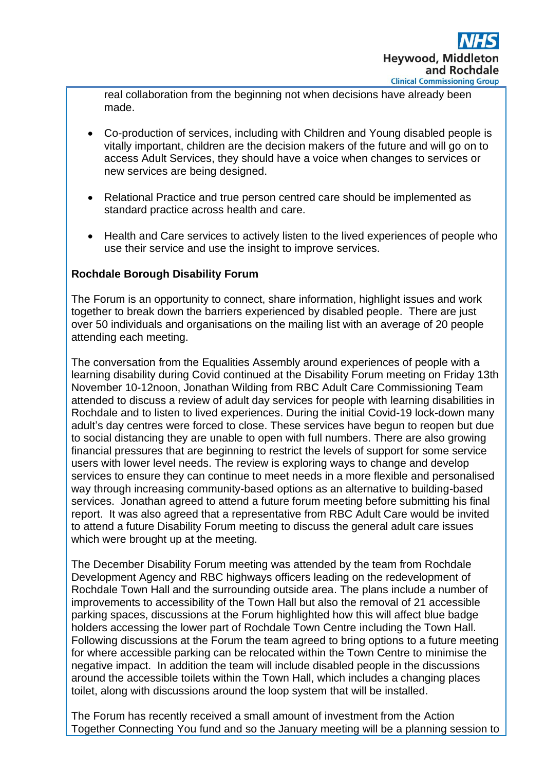real collaboration from the beginning not when decisions have already been made.

- Co-production of services, including with Children and Young disabled people is vitally important, children are the decision makers of the future and will go on to access Adult Services, they should have a voice when changes to services or new services are being designed.
- Relational Practice and true person centred care should be implemented as standard practice across health and care.
- Health and Care services to actively listen to the lived experiences of people who use their service and use the insight to improve services.

## **Rochdale Borough Disability Forum**

The Forum is an opportunity to connect, share information, highlight issues and work together to break down the barriers experienced by disabled people. There are just over 50 individuals and organisations on the mailing list with an average of 20 people attending each meeting.

The conversation from the Equalities Assembly around experiences of people with a learning disability during Covid continued at the Disability Forum meeting on Friday 13th November 10-12noon, Jonathan Wilding from RBC Adult Care Commissioning Team attended to discuss a review of adult day services for people with learning disabilities in Rochdale and to listen to lived experiences. During the initial Covid-19 lock-down many adult's day centres were forced to close. These services have begun to reopen but due to social distancing they are unable to open with full numbers. There are also growing financial pressures that are beginning to restrict the levels of support for some service users with lower level needs. The review is exploring ways to change and develop services to ensure they can continue to meet needs in a more flexible and personalised way through increasing community-based options as an alternative to building-based services. Jonathan agreed to attend a future forum meeting before submitting his final report. It was also agreed that a representative from RBC Adult Care would be invited to attend a future Disability Forum meeting to discuss the general adult care issues which were brought up at the meeting.

The December Disability Forum meeting was attended by the team from Rochdale Development Agency and RBC highways officers leading on the redevelopment of Rochdale Town Hall and the surrounding outside area. The plans include a number of improvements to accessibility of the Town Hall but also the removal of 21 accessible parking spaces, discussions at the Forum highlighted how this will affect blue badge holders accessing the lower part of Rochdale Town Centre including the Town Hall. Following discussions at the Forum the team agreed to bring options to a future meeting for where accessible parking can be relocated within the Town Centre to minimise the negative impact. In addition the team will include disabled people in the discussions around the accessible toilets within the Town Hall, which includes a changing places toilet, along with discussions around the loop system that will be installed.

The Forum has recently received a small amount of investment from the Action Together Connecting You fund and so the January meeting will be a planning session to